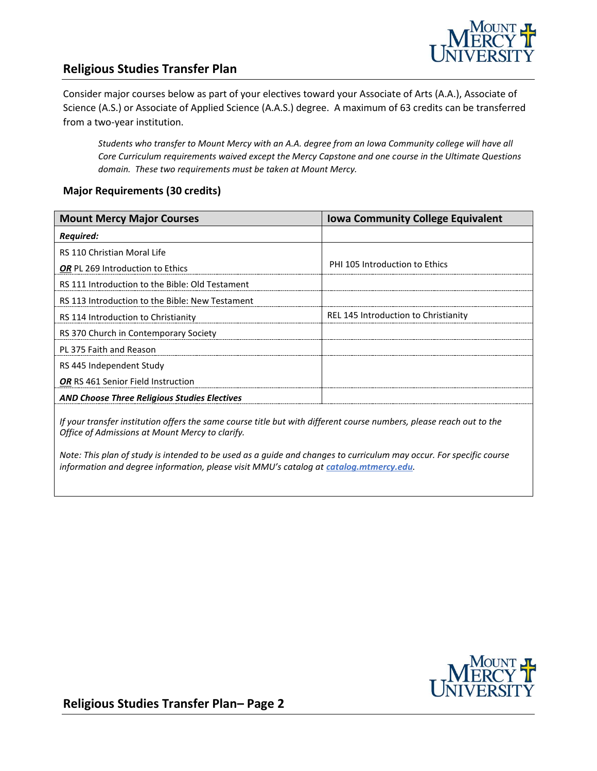

# **Religious Studies Transfer Plan**

Consider major courses below as part of your electives toward your Associate of Arts (A.A.), Associate of Science (A.S.) or Associate of Applied Science (A.A.S.) degree. A maximum of 63 credits can be transferred from a two-year institution.

*Students who transfer to Mount Mercy with an A.A. degree from an Iowa Community college will have all Core Curriculum requirements waived except the Mercy Capstone and one course in the Ultimate Questions domain. These two requirements must be taken at Mount Mercy.* 

#### **Major Requirements (30 credits)**

| <b>Mount Mercy Major Courses</b>                    | <b>Iowa Community College Equivalent</b> |
|-----------------------------------------------------|------------------------------------------|
| <b>Required:</b>                                    |                                          |
| RS 110 Christian Moral Life                         |                                          |
| <b>OR</b> PL 269 Introduction to Ethics             | <b>PHI 105 Introduction to Ethics</b>    |
| RS 111 Introduction to the Bible: Old Testament     |                                          |
| RS 113 Introduction to the Bible: New Testament     |                                          |
| RS 114 Introduction to Christianity                 | REL 145 Introduction to Christianity     |
| RS 370 Church in Contemporary Society               |                                          |
| PL 375 Faith and Reason                             |                                          |
| RS 445 Independent Study                            |                                          |
| OR RS 461 Senior Field Instruction                  |                                          |
| <b>AND Choose Three Religious Studies Electives</b> |                                          |
|                                                     |                                          |

*If your transfer institution offers the same course title but with different course numbers, please reach out to the Office of Admissions at Mount Mercy to clarify.*

*Note: This plan of study is intended to be used as a guide and changes to curriculum may occur. For specific course information and degree information, please visit MMU's catalog at catalog.mtmercy.edu.*



**Religious Studies Transfer Plan– Page 2**